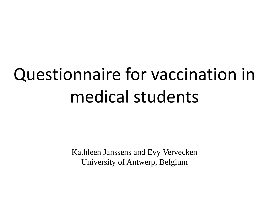# Questionnaire for vaccination in medical students

Kathleen Janssens and Evy Vervecken University of Antwerp, Belgium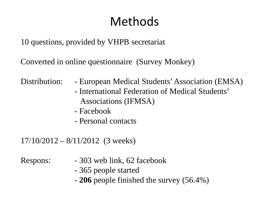# Methods

10 questions, provided by VHPB secretariat

Converted in online questionnaire (Survey Monkey)

- Distribution: European Medical Students' Association (EMSA)
	- International Federation of Medical Students' Associations (IFMSA)
	- Facebook
	- Personal contacts

17/10/2012 – 8/11/2012 (3 weeks)

- Respons:  $-303$  web link, 62 facebook
	- 365 people started
	- **206** people finished the survey (56.4%)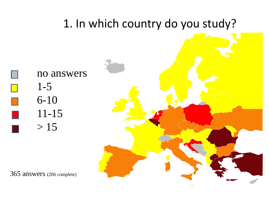

365 answers (206 complete)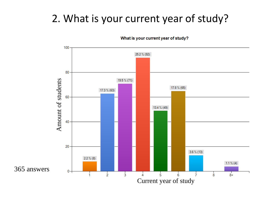## 2. What is your current year of study?



What is your current year of study?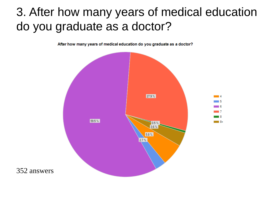# 3. After how many years of medical education do you graduate as a doctor?

After how many years of medical education do you graduate as a doctor?

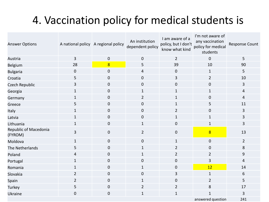# 4. Vaccination policy for medical students is

| <b>Answer Options</b>            |                | A national policy A regional policy | An institution<br>dependent policy | I am aware of a<br>policy, but I don't<br>know what kind | I'm not aware of<br>any vaccination<br>policy for medical<br>students | Response Count |
|----------------------------------|----------------|-------------------------------------|------------------------------------|----------------------------------------------------------|-----------------------------------------------------------------------|----------------|
| Austria                          | 3              | 0                                   | $\pmb{0}$                          | $\overline{2}$                                           | $\mathbf 0$                                                           | 5              |
| Belgium                          | 28             | $\overline{8}$                      | 5                                  | 39                                                       | 10                                                                    | 90             |
| <b>Bulgaria</b>                  | $\pmb{0}$      | $\pmb{0}$                           | 4                                  | $\boldsymbol{0}$                                         | $\mathbf{1}$                                                          | 5              |
| Croatia                          | 5              | $\overline{0}$                      | $\pmb{0}$                          | 3                                                        | $\overline{2}$                                                        | 10             |
| Czech Republic                   | $\overline{3}$ | $\overline{0}$                      | $\pmb{0}$                          | $\boldsymbol{0}$                                         | $\pmb{0}$                                                             | $\mathbf{3}$   |
| Georgia                          | $\mathbf{1}$   | $\mathbf 0$                         | $\mathbf{1}$                       | $\mathbf{1}$                                             | $\mathbf{1}$                                                          | $\overline{4}$ |
| Germany                          | $\mathbf{1}$   | $\mathbf 0$                         | $\overline{2}$                     | $\mathbf{1}$                                             | 0                                                                     | 4              |
| Greece                           | 5              | $\mathbf 0$                         | $\boldsymbol{0}$                   | $\mathbf{1}$                                             | 5                                                                     | 11             |
| Italy                            | $\mathbf{1}$   | $\boldsymbol{0}$                    | $\pmb{0}$                          | $\overline{2}$                                           | 0                                                                     | $\overline{3}$ |
| Latvia                           | $\mathbf{1}$   | $\mathbf 0$                         | $\boldsymbol{0}$                   | $\mathbf{1}$                                             | $\mathbf{1}$                                                          | 3              |
| Lithuania                        | $\mathbf{1}$   | $\mathbf 0$                         | $\mathbf{1}$                       | $\pmb{0}$                                                | $\mathbf{1}$                                                          | 3              |
| Republic of Macedonia<br>(FYROM) | 3              | $\boldsymbol{0}$                    | $\overline{2}$                     | $\pmb{0}$                                                | $\overline{8}$                                                        | 13             |
| Moldova                          | $\mathbf{1}$   | $\mathbf 0$                         | $\mathbf 0$                        | $\mathbf{1}$                                             | $\pmb{0}$                                                             | $\overline{2}$ |
| The Netherlands                  | 5              | $\pmb{0}$                           | $\mathbf{1}$                       | $\overline{2}$                                           | $\boldsymbol{0}$                                                      | $\,8$          |
| Poland                           | $\overline{4}$ | $\boldsymbol{0}$                    | $\mathbf{1}$                       | $\overline{2}$                                           | $\overline{2}$                                                        | 9              |
| Portugal                         | $\mathbf{1}$   | $\boldsymbol{0}$                    | $\pmb{0}$                          | 0                                                        | 3                                                                     | $\overline{4}$ |
| Romania                          | $\mathbf{1}$   | $\mathbf{0}$                        | $\mathbf{1}$                       | 0                                                        | 12                                                                    | 14             |
| Slovakia                         | $\overline{2}$ | $\boldsymbol{0}$                    | $\boldsymbol{0}$                   | 3                                                        | $\mathbf{1}$                                                          | 6              |
| Spain                            | $\overline{2}$ | $\mathbf 0$                         | $\mathbf{1}$                       | $\boldsymbol{0}$                                         | $\overline{2}$                                                        | 5              |
| Turkey                           | 5              | $\mathbf 0$                         | $\overline{2}$                     | $\overline{2}$                                           | 8                                                                     | 17             |
| <b>Ukraine</b>                   | $\pmb{0}$      | $\boldsymbol{0}$                    | $\mathbf{1}$                       | $\mathbf{1}$                                             | 1                                                                     | 3              |
|                                  |                |                                     |                                    |                                                          | answered question                                                     | 241            |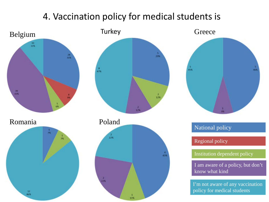### 4. Vaccination policy for medical students is









#### National policy

Regional policy

Institution dependent policy

I am aware of a policy, but don't know what kind

I'm not aware of any vaccination policy for medical students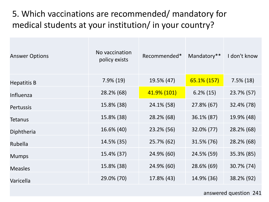### 5. Which vaccinations are recommended/ mandatory for medical students at your institution/ in your country?

| <b>Answer Options</b> | No vaccination<br>policy exists | Recommended* | Mandatory**  | I don't know |
|-----------------------|---------------------------------|--------------|--------------|--------------|
| <b>Hepatitis B</b>    | $7.9\%$ (19)                    | 19.5% (47)   | 65.1% (157)  | $7.5\%$ (18) |
| Influenza             | 28.2% (68)                      | 41.9% (101)  | $6.2\%$ (15) | 23.7% (57)   |
| <b>Pertussis</b>      | 15.8% (38)                      | 24.1% (58)   | 27.8% (67)   | 32.4% (78)   |
| <b>Tetanus</b>        | 15.8% (38)                      | 28.2% (68)   | 36.1% (87)   | 19.9% (48)   |
| Diphtheria            | 16.6% (40)                      | 23.2% (56)   | 32.0% (77)   | 28.2% (68)   |
| Rubella               | 14.5% (35)                      | 25.7% (62)   | 31.5% (76)   | 28.2% (68)   |
| <b>Mumps</b>          | 15.4% (37)                      | 24.9% (60)   | 24.5% (59)   | 35.3% (85)   |
| <b>Measles</b>        | 15.8% (38)                      | 24.9% (60)   | 28.6% (69)   | 30.7% (74)   |
| Varicella             | 29.0% (70)                      | 17.8% (43)   | 14.9% (36)   | 38.2% (92)   |

#### answered question 241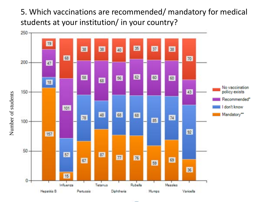5. Which vaccinations are recommended/ mandatory for medical students at your institution/ in your country?



Number of students Number of students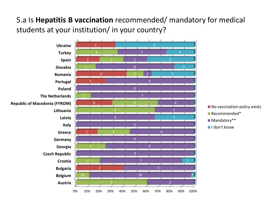#### 5.a Is **Hepatitis B vaccination** recommended/ mandatory for medical students at your institution/ in your country?

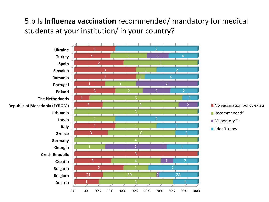#### 5.b Is **Influenza vaccination** recommended/ mandatory for medical students at your institution/ in your country?

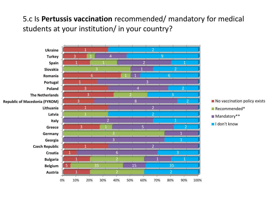#### 5.c Is **Pertussis vaccination** recommended/ mandatory for medical students at your institution/ in your country?

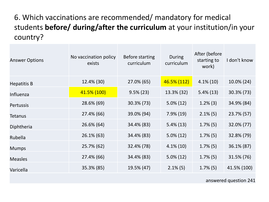#### 6. Which vaccinations are recommended/ mandatory for medical students **before/ during/after the curriculum** at your institution/in your country?

| <b>Answer Options</b> | No vaccination policy<br>exists | <b>Before starting</b><br>curriculum | During<br>curriculum | After (before<br>starting to<br>work) | I don't know |
|-----------------------|---------------------------------|--------------------------------------|----------------------|---------------------------------------|--------------|
| <b>Hepatitis B</b>    | 12.4% (30)                      | 27.0% (65)                           | 46.5% (112)          | $4.1\%$ (10)                          | 10.0% (24)   |
| Influenza             | 41.5% (100)                     | $9.5\% (23)$                         | 13.3% (32)           | $5.4\%(13)$                           | 30.3% (73)   |
| Pertussis             | 28.6% (69)                      | 30.3% (73)                           | $5.0\% (12)$         | $1.2\%$ (3)                           | 34.9% (84)   |
| Tetanus               | 27.4% (66)                      | 39.0% (94)                           | $7.9\%$ (19)         | $2.1\%$ (5)                           | 23.7% (57)   |
| Diphtheria            | 26.6% (64)                      | 34.4% (83)                           | $5.4\%(13)$          | $1.7\%$ (5)                           | 32.0% (77)   |
| Rubella               | $26.1\%$ (63)                   | 34.4% (83)                           | $5.0\% (12)$         | $1.7\%$ (5)                           | 32.8% (79)   |
| <b>Mumps</b>          | 25.7% (62)                      | 32.4% (78)                           | $4.1\%$ (10)         | $1.7\%$ (5)                           | 36.1% (87)   |
| <b>Measles</b>        | 27.4% (66)                      | 34.4% (83)                           | $5.0\% (12)$         | $1.7\%$ (5)                           | 31.5% (76)   |
| Varicella             | 35.3% (85)                      | 19.5% (47)                           | $2.1\%$ (5)          | $1.7\%$ (5)                           | 41.5% (100)  |

answered question 241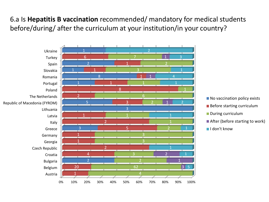#### 6.a Is **Hepatitis B vaccination** recommended/ mandatory for medical students before/during/ after the curriculum at your institution/in your country?



- No vaccination policy exists
- Before starting curriculum
- During curriculum
- After (before starting to work)
- I don't know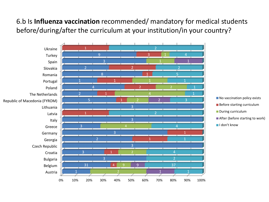#### 6.b Is **Influenza vaccination** recommended/ mandatory for medical students before/during/after the curriculum at your institution/in your country?

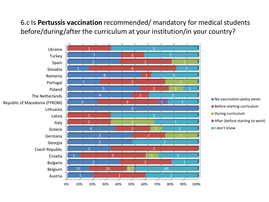#### 6.c Is **Pertussis vaccination** recommended/ mandatory for medical students before/during/after the curriculum at your institution/in your country?

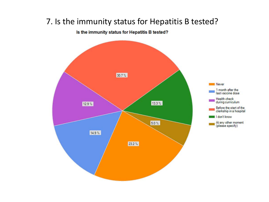#### 7. Is the immunity status for Hepatitis B tested?

Is the immunity status for Hepatitis B tested?

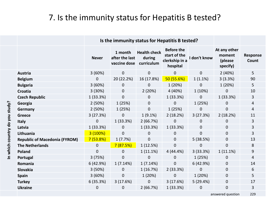#### 7. Is the immunity status for Hepatitis B tested?

|                                      | Is the immunity status for Hepatitis B tested? |                                           |                                             |                                                                 |                |                                               |                          |
|--------------------------------------|------------------------------------------------|-------------------------------------------|---------------------------------------------|-----------------------------------------------------------------|----------------|-----------------------------------------------|--------------------------|
|                                      | <b>Never</b>                                   | 1 month<br>after the last<br>vaccine dose | <b>Health check</b><br>during<br>curriculum | <b>Before the</b><br>start of the<br>clerkship in a<br>hospital | I don't know   | At any other<br>moment<br>(please<br>specify) | <b>Response</b><br>Count |
| <b>Austria</b>                       | 3(60%)                                         | $\mathbf{0}$                              | $\mathbf 0$                                 | $\overline{0}$                                                  | $\overline{0}$ | 2(40%)                                        | 5                        |
| <b>Belgium</b>                       | $\mathbf{0}$                                   | 20 (22.2%)                                | 16 (17.8%)                                  | 50(55.6%)                                                       | 1(1.1%)        | 3(3.3%)                                       | 90                       |
| <b>Bulgaria</b>                      | 3 (60%)                                        | $\mathbf{0}$                              | $\mathbf 0$                                 | 1(20%)                                                          | $\overline{0}$ | 1(20%)                                        | 5                        |
| Croatia                              | 3 (30%)                                        | $\mathbf 0$                               | 2(20%)                                      | 4 (40%)                                                         | 1 (10%)        | 0                                             | 10                       |
| <b>Czech Republic</b>                | 1 (33.3%)                                      | $\mathbf 0$                               | $\mathbf 0$                                 | 1(33.3%)                                                        | $\overline{0}$ | 1 (33.3%)                                     | 3                        |
| Georgia                              | 2(50%)                                         | 1(25%)                                    | $\boldsymbol{0}$                            | 0                                                               | 1(25%)         | 0                                             | 4                        |
| Germany                              | 2(50%)                                         | 1 (25%)                                   | $\boldsymbol{0}$                            | 1(25%)                                                          | 0              | 0                                             | 4                        |
| <b>Greece</b>                        | 3(27.3%)                                       | $\mathbf 0$                               | $1(9.1\%)$                                  | 2(18.2%)                                                        | 3(27.3%)       | 2(18.2%)                                      | 11                       |
| <b>Italy</b>                         | $\mathbf{0}$                                   | 1 (33.3%)                                 | 2(66.7%)                                    | 0                                                               | $\mathbf{0}$   | 0                                             | 3                        |
| Latvia                               | 1 (33.3%)                                      | $\mathbf{0}$                              | 1(33.3%)                                    | 1(33.3%)                                                        | 0              | 0                                             | 3                        |
| Lithuania                            | 3(100%)                                        | $\mathbf 0$                               | $\mathbf 0$                                 | 0                                                               | 0              | 0                                             | 3                        |
| <b>Republic of Macedonia (FYROM)</b> | 7(53.8%)                                       | 1(7.7%)                                   | $\boldsymbol{0}$                            | $\mathbf{0}$                                                    | 5(38.5%)       | 0                                             | 13                       |
| <b>The Netherlands</b>               | $\mathbf{0}$                                   | 7(87.5%)                                  | 1(12.5%)                                    | 0                                                               | 0              | 0                                             | 8                        |
| Poland                               | $\overline{0}$                                 | $\mathbf{0}$                              | 1(11.1%)                                    | 4 (44.4%)                                                       | 3(33.3%)       | 1(11.1%)                                      | 9                        |
| Portugal                             | 3(75%)                                         | $\mathbf 0$                               | 0                                           | 0                                                               | 1(25%)         | 0                                             | 4                        |
| Romania                              | 6 (42.9%)                                      | 1(7.14%)                                  | 1(7.14%)                                    | $\mathbf 0$                                                     | 6(42.9%)       | 0                                             | 14                       |
| <b>Slovakia</b>                      | 3(50%)                                         | $\mathbf 0$                               | 1(16.7%)                                    | 2(33.3%)                                                        | 0              | $\mathbf 0$                                   | 6                        |
| <b>Spain</b>                         | 3(60%)                                         | $\mathbf 0$                               | 1 (20%)                                     | 0                                                               | 1 (20%)        | 0                                             | 5                        |
| <b>Turkey</b>                        | 6(35.3%)                                       | 3(17.6%)                                  | $\mathbf 0$                                 | 3(17.6%)                                                        | 5(29.4%)       | 0                                             | 17                       |
| <b>Ukraine</b>                       | $\mathbf{0}$                                   | $\mathbf 0$                               | 2(66.7%)                                    | 1 (33.3%)                                                       | $\mathbf 0$    | 0                                             | 3                        |
|                                      |                                                |                                           |                                             |                                                                 |                |                                               |                          |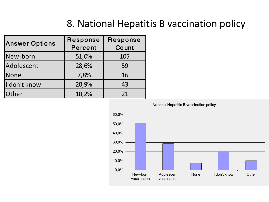### 8. National Hepatitis B vaccination policy

| <b>Answer Options</b> | Response<br><b>Percent</b> | Response<br>Count |  |
|-----------------------|----------------------------|-------------------|--|
| New-born              | 51,0%                      | 105               |  |
| Adolescent            | 28,6%                      | 59                |  |
| <b>None</b>           | 7,8%                       | 16                |  |
| I don't know          | 20,9%                      | 43                |  |
| Other                 | 10,2%                      | 21                |  |

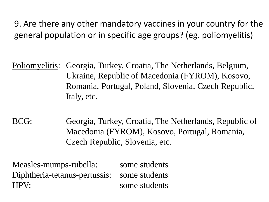9. Are there any other mandatory vaccines in your country for the general population or in specific age groups? (eg. poliomyelitis)

Poliomyelitis: Georgia, Turkey, Croatia, The Netherlands, Belgium, Ukraine, Republic of Macedonia (FYROM), Kosovo, Romania, Portugal, Poland, Slovenia, Czech Republic, Italy, etc.

BCG: Georgia, Turkey, Croatia, The Netherlands, Republic of Macedonia (FYROM), Kosovo, Portugal, Romania, Czech Republic, Slovenia, etc.

Measles-mumps-rubella: some students Diphtheria-tetanus-pertussis: some students HPV: some students